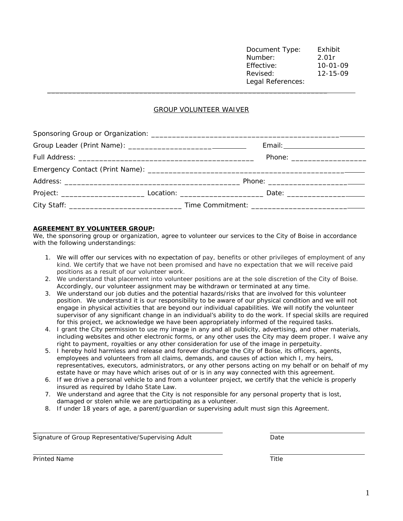Document Type: Exhibit Number: 2.01r Effective: 10-01-09 Revised: 12-15-09 Legal References: \_\_\_\_\_\_\_\_\_\_\_\_\_\_\_\_\_\_\_\_\_\_\_\_\_\_\_\_\_\_\_\_\_\_\_\_\_\_\_\_\_\_\_\_\_\_\_\_\_\_\_\_\_\_\_\_\_\_\_\_\_\_\_\_\_\_\_

## GROUP VOLUNTEER WAIVER

|  |  | Email: ___________________________ |  |  |  |  |
|--|--|------------------------------------|--|--|--|--|
|  |  |                                    |  |  |  |  |
|  |  |                                    |  |  |  |  |
|  |  |                                    |  |  |  |  |
|  |  |                                    |  |  |  |  |
|  |  |                                    |  |  |  |  |

## **AGREEMENT BY VOLUNTEER GROUP:**

We, the sponsoring group or organization, agree to volunteer our services to the City of Boise in accordance with the following understandings:

- 1. We will offer our services with no expectation of pay, benefits or other privileges of employment of any kind. We certify that we have not been promised and have no expectation that we will receive paid positions as a result of our volunteer work.
- 2. We understand that placement into volunteer positions are at the sole discretion of the City of Boise. Accordingly, our volunteer assignment may be withdrawn or terminated at any time.
- 3. We understand our job duties and the potential hazards/risks that are involved for this volunteer position. We understand it is our responsibility to be aware of our physical condition and we will not engage in physical activities that are beyond our individual capabilities. We will notify the volunteer supervisor of any significant change in an individual's ability to do the work. If special skills are required for this project, we acknowledge we have been appropriately informed of the required tasks.
- 4. I grant the City permission to use my image in any and all publicity, advertising, and other materials, including websites and other electronic forms, or any other uses the City may deem proper. I waive any right to payment, royalties or any other consideration for use of the image in perpetuity.
- 5. I hereby hold harmless and release and forever discharge the City of Boise, its officers, agents, employees and volunteers from all claims, demands, and causes of action which I, my heirs, representatives, executors, administrators, or any other persons acting on my behalf or on behalf of my estate have or may have which arises out of or is in any way connected with this agreement.
- 6. If we drive a personal vehicle to and from a volunteer project, we certify that the vehicle is properly insured as required by Idaho State Law.
- 7. We understand and agree that the City is not responsible for any personal property that is lost, damaged or stolen while we are participating as a volunteer.
- 8. If under 18 years of age, a parent/guardian or supervising adult must sign this Agreement.

Signature of Group Representative/Supervising Adult Date

**Printed Name** Title

 $\overline{a}$ 

l,